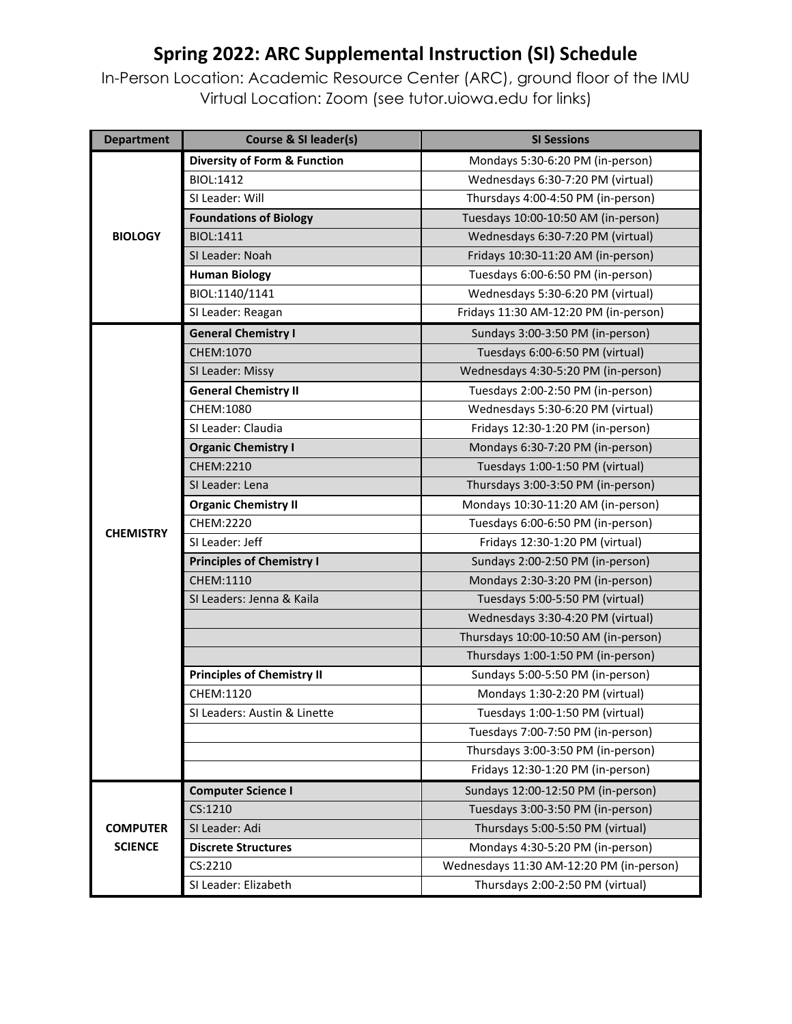## **Spring 2022: ARC Supplemental Instruction (SI) Schedule**

In-Person Location: Academic Resource Center (ARC), ground floor of the IMU Virtual Location: Zoom (see tutor.uiowa.edu for links)

| <b>Department</b> | <b>Course &amp; SI leader(s)</b>        | <b>SI Sessions</b>                       |
|-------------------|-----------------------------------------|------------------------------------------|
| <b>BIOLOGY</b>    | <b>Diversity of Form &amp; Function</b> | Mondays 5:30-6:20 PM (in-person)         |
|                   | <b>BIOL:1412</b>                        | Wednesdays 6:30-7:20 PM (virtual)        |
|                   | SLLeader: Will                          | Thursdays 4:00-4:50 PM (in-person)       |
|                   | <b>Foundations of Biology</b>           | Tuesdays 10:00-10:50 AM (in-person)      |
|                   | BIOL:1411                               | Wednesdays 6:30-7:20 PM (virtual)        |
|                   | SI Leader: Noah                         | Fridays 10:30-11:20 AM (in-person)       |
|                   | <b>Human Biology</b>                    | Tuesdays 6:00-6:50 PM (in-person)        |
|                   | BIOL:1140/1141                          | Wednesdays 5:30-6:20 PM (virtual)        |
|                   | SI Leader: Reagan                       | Fridays 11:30 AM-12:20 PM (in-person)    |
|                   | <b>General Chemistry I</b>              | Sundays 3:00-3:50 PM (in-person)         |
|                   | CHEM:1070                               | Tuesdays 6:00-6:50 PM (virtual)          |
|                   | SI Leader: Missy                        | Wednesdays 4:30-5:20 PM (in-person)      |
|                   | <b>General Chemistry II</b>             | Tuesdays 2:00-2:50 PM (in-person)        |
|                   | CHEM:1080                               | Wednesdays 5:30-6:20 PM (virtual)        |
|                   | SI Leader: Claudia                      | Fridays 12:30-1:20 PM (in-person)        |
|                   | <b>Organic Chemistry I</b>              | Mondays 6:30-7:20 PM (in-person)         |
|                   | CHEM:2210                               | Tuesdays 1:00-1:50 PM (virtual)          |
|                   | SI Leader: Lena                         | Thursdays 3:00-3:50 PM (in-person)       |
|                   | <b>Organic Chemistry II</b>             | Mondays 10:30-11:20 AM (in-person)       |
| <b>CHEMISTRY</b>  | CHEM:2220                               | Tuesdays 6:00-6:50 PM (in-person)        |
|                   | SI Leader: Jeff                         | Fridays 12:30-1:20 PM (virtual)          |
|                   | <b>Principles of Chemistry I</b>        | Sundays 2:00-2:50 PM (in-person)         |
|                   | CHEM:1110                               | Mondays 2:30-3:20 PM (in-person)         |
|                   | SI Leaders: Jenna & Kaila               | Tuesdays 5:00-5:50 PM (virtual)          |
|                   |                                         | Wednesdays 3:30-4:20 PM (virtual)        |
|                   |                                         | Thursdays 10:00-10:50 AM (in-person)     |
|                   |                                         | Thursdays 1:00-1:50 PM (in-person)       |
|                   | <b>Principles of Chemistry II</b>       | Sundays 5:00-5:50 PM (in-person)         |
|                   | CHEM:1120                               | Mondays 1:30-2:20 PM (virtual)           |
|                   | SI Leaders: Austin & Linette            | Tuesdays 1:00-1:50 PM (virtual)          |
|                   |                                         | Tuesdays 7:00-7:50 PM (in-person)        |
|                   |                                         | Thursdays 3:00-3:50 PM (in-person)       |
|                   |                                         | Fridays 12:30-1:20 PM (in-person)        |
|                   | <b>Computer Science I</b>               | Sundays 12:00-12:50 PM (in-person)       |
|                   | CS:1210                                 | Tuesdays 3:00-3:50 PM (in-person)        |
| <b>COMPUTER</b>   | SI Leader: Adi                          | Thursdays 5:00-5:50 PM (virtual)         |
| <b>SCIENCE</b>    | <b>Discrete Structures</b>              | Mondays 4:30-5:20 PM (in-person)         |
|                   | CS:2210                                 | Wednesdays 11:30 AM-12:20 PM (in-person) |
|                   | SI Leader: Elizabeth                    | Thursdays 2:00-2:50 PM (virtual)         |